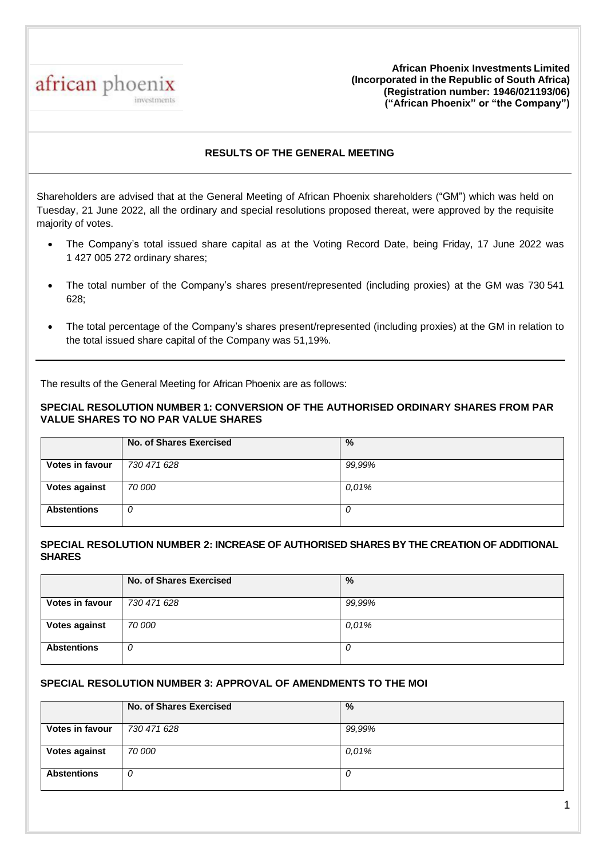

**African Phoenix Investments Limited (Incorporated in the Republic of South Africa) (Registration number: 1946/021193/06) ("African Phoenix" or "the Company")**

# **RESULTS OF THE GENERAL MEETING**

Shareholders are advised that at the General Meeting of African Phoenix shareholders ("GM") which was held on Tuesday, 21 June 2022, all the ordinary and special resolutions proposed thereat, were approved by the requisite majority of votes.

- The Company's total issued share capital as at the Voting Record Date, being Friday, 17 June 2022 was 1 427 005 272 ordinary shares;
- The total number of the Company's shares present/represented (including proxies) at the GM was 730 541 628;
- The total percentage of the Company's shares present/represented (including proxies) at the GM in relation to the total issued share capital of the Company was 51,19%.

The results of the General Meeting for African Phoenix are as follows:

## **SPECIAL RESOLUTION NUMBER 1: CONVERSION OF THE AUTHORISED ORDINARY SHARES FROM PAR VALUE SHARES TO NO PAR VALUE SHARES**

|                        | No. of Shares Exercised | %      |
|------------------------|-------------------------|--------|
| <b>Votes in favour</b> | 730 471 628             | 99,99% |
| <b>Votes against</b>   | 70 000                  | 0.01%  |
| <b>Abstentions</b>     | U                       |        |

### **SPECIAL RESOLUTION NUMBER 2: INCREASE OF AUTHORISED SHARES BY THE CREATION OF ADDITIONAL SHARES**

|                        | <b>No. of Shares Exercised</b> | %      |
|------------------------|--------------------------------|--------|
| <b>Votes in favour</b> | 730 471 628                    | 99,99% |
| <b>Votes against</b>   | 70 000                         | 0.01%  |
| <b>Abstentions</b>     | U                              | U      |

## **SPECIAL RESOLUTION NUMBER 3: APPROVAL OF AMENDMENTS TO THE MOI**

|                      | No. of Shares Exercised | %      |
|----------------------|-------------------------|--------|
| Votes in favour      | 730 471 628             | 99,99% |
| <b>Votes against</b> | 70 000                  | 0,01%  |
| <b>Abstentions</b>   |                         |        |